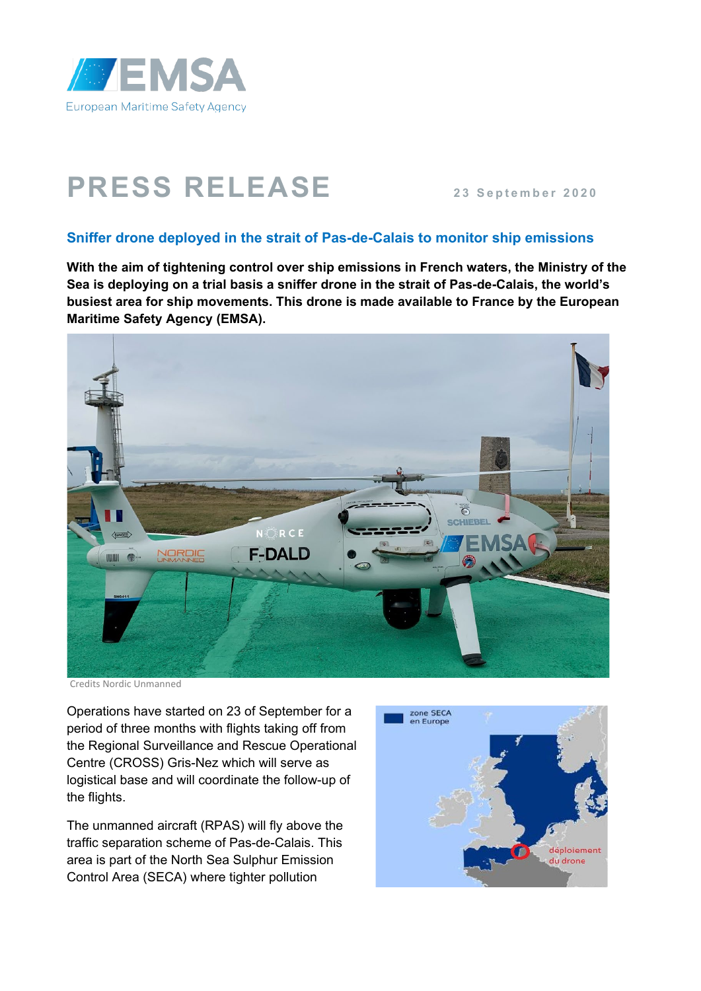

## **PRESS RELEASE** 23 September 2020

## **Sniffer drone deployed in the strait of Pas-de-Calais to monitor ship emissions**

**With the aim of tightening control over ship emissions in French waters, the Ministry of the Sea is deploying on a trial basis a sniffer drone in the strait of Pas-de-Calais, the world's busiest area for ship movements. This drone is made available to France by the European Maritime Safety Agency (EMSA).**



Credits Nordic Unmanned

Operations have started on 23 of September for a period of three months with flights taking off from the Regional Surveillance and Rescue Operational Centre (CROSS) Gris-Nez which will serve as logistical base and will coordinate the follow-up of the flights.

The unmanned aircraft (RPAS) will fly above the traffic separation scheme of Pas-de-Calais. This area is part of the North Sea Sulphur Emission Control Area (SECA) where tighter pollution